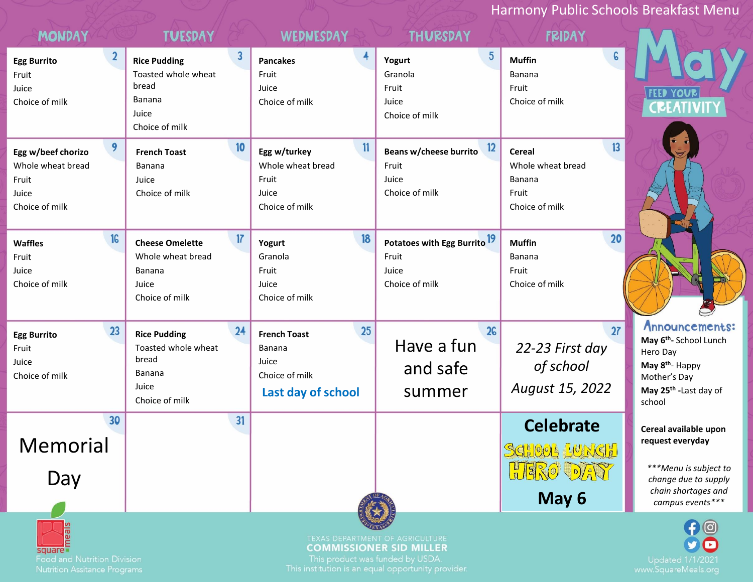Harmony Public Schools Breakfast Menu

| <b>MONDAY</b>                                                                    | <b>TUESDAY</b>                                                                                                             | WEDNESDAY                                                                              | <b>THURSDAY</b>                                                             | <b>FRIDAY</b>                                                                        |                                                                                                                                                                 |
|----------------------------------------------------------------------------------|----------------------------------------------------------------------------------------------------------------------------|----------------------------------------------------------------------------------------|-----------------------------------------------------------------------------|--------------------------------------------------------------------------------------|-----------------------------------------------------------------------------------------------------------------------------------------------------------------|
| $\mathbf{2}$<br><b>Egg Burrito</b><br>Fruit<br>Juice<br>Choice of milk           | $\overline{\mathbf{3}}$<br><b>Rice Pudding</b><br>Toasted whole wheat<br>bread<br><b>Banana</b><br>Juice<br>Choice of milk | 4<br><b>Pancakes</b><br>Fruit<br>Juice<br>Choice of milk                               | $5^{\circ}$<br>Yogurt<br>Granola<br>Fruit<br>Juice<br>Choice of milk        | $\epsilon$<br><b>Muffin</b><br>Banana<br>Fruit<br>Choice of milk                     | <b>FEED YOUR</b><br>CREATIVITY                                                                                                                                  |
| 9<br>Egg w/beef chorizo<br>Whole wheat bread<br>Fruit<br>Juice<br>Choice of milk | 10<br><b>French Toast</b><br><b>Banana</b><br>Juice<br>Choice of milk                                                      | $\mathbf{11}$<br>Egg w/turkey<br>Whole wheat bread<br>Fruit<br>Juice<br>Choice of milk | 12<br>Beans w/cheese burrito<br>Fruit<br>Juice<br>Choice of milk            | 13<br><b>Cereal</b><br>Whole wheat bread<br><b>Banana</b><br>Fruit<br>Choice of milk |                                                                                                                                                                 |
| 16<br><b>Waffles</b><br>Fruit<br>Juice<br>Choice of milk                         | 17<br><b>Cheese Omelette</b><br>Whole wheat bread<br>Banana<br>Juice<br>Choice of milk                                     | 18<br>Yogurt<br>Granola<br>Fruit<br>Juice<br>Choice of milk                            | Potatoes with Egg Burrito <sup>19</sup><br>Fruit<br>Juice<br>Choice of milk | 20<br><b>Muffin</b><br>Banana<br>Fruit<br>Choice of milk                             |                                                                                                                                                                 |
| 23<br><b>Egg Burrito</b><br>Fruit<br>Juice<br>Choice of milk                     | 24<br><b>Rice Pudding</b><br>Toasted whole wheat<br>bread<br>Banana<br>Juice<br>Choice of milk                             | 25<br><b>French Toast</b><br>Banana<br>Juice<br>Choice of milk<br>Last day of school   | 26<br>Have a fun<br>and safe<br>summer                                      | 27<br>22-23 First day<br>of school<br>August 15, 2022                                | Announcements:<br>May 6 <sup>th</sup> - School Lunch<br>Hero Day<br>May 8 <sup>th</sup> - Happy<br>Mother's Day<br>May 25 <sup>th</sup> - Last day of<br>school |
| 30<br><b>Memorial</b><br>Day                                                     | 31                                                                                                                         |                                                                                        |                                                                             | <b>Celebrate</b><br>SCHOOL LUNCH<br>HERO DAY                                         | Cereal available upon<br>request everyday<br>***Menu is subject to<br>change due to supply                                                                      |
|                                                                                  |                                                                                                                            |                                                                                        |                                                                             | May 6                                                                                | chain shortages and<br>campus events***                                                                                                                         |
| square<br><b>Food and Nutrition Division</b>                                     |                                                                                                                            | This product was funded by USDA.                                                       | TEXAS DEPARTMENT OF AGRICULTURE<br><b>COMMISSIONER SID MILLER</b>           |                                                                                      | Updated                                                                                                                                                         |